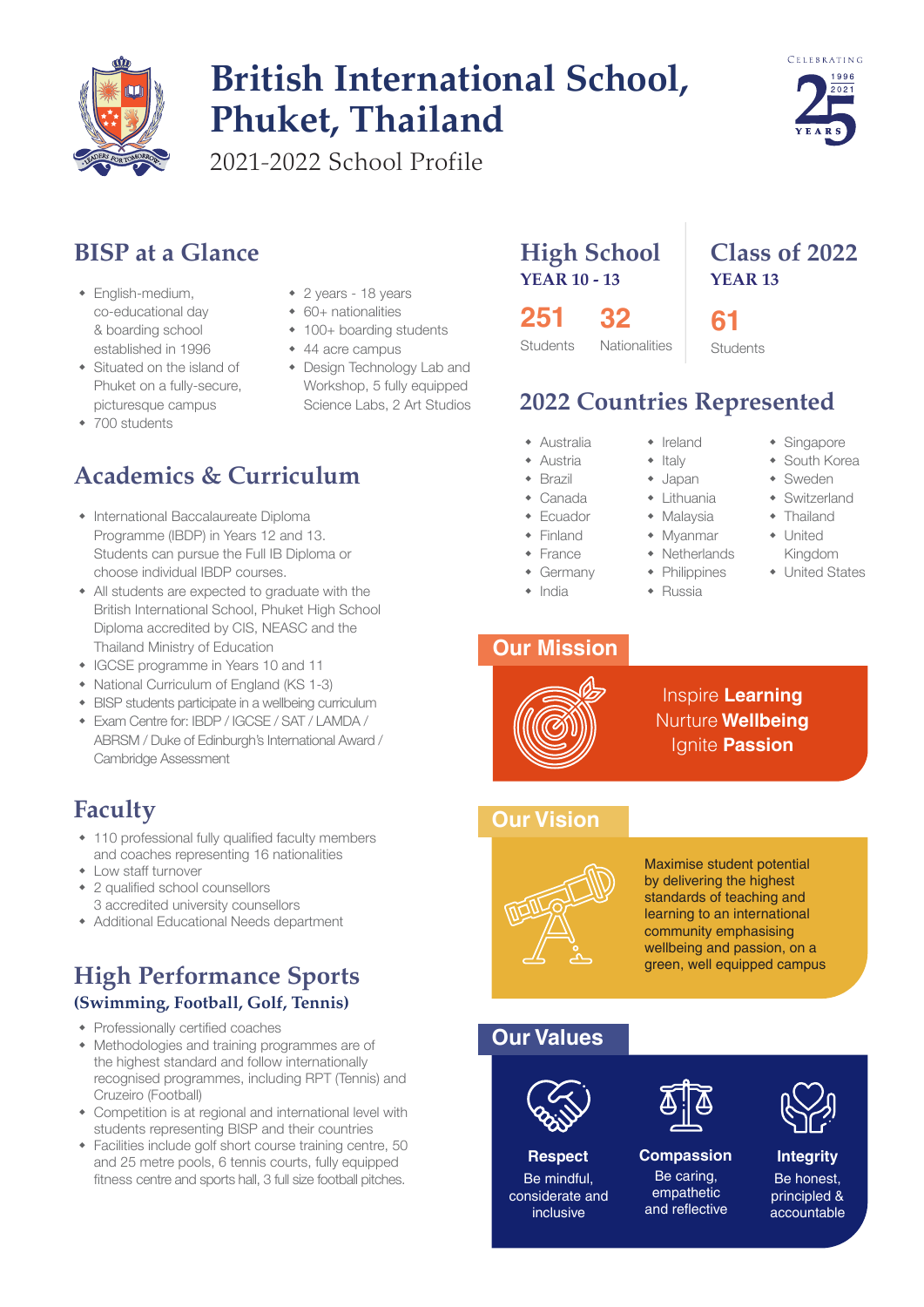

# **British International School, Phuket, Thailand**

2021-2022 School Profile

### **BISP at a Glance**

- $\bullet$  English-medium, co-educational day & boarding school established in 1996
- $\bullet$  Situated on the island of Phuket on a fully-secure, picturesque campus
- $\cdot$  700 students
- 2 years 18 years
- $\cdot$  60+ nationalities
- $\cdot$  100+ boarding students
- $\cdot$  44 acre campus
- Design Technology Lab and Workshop, 5 fully equipped Science Labs, 2 Art Studios

# **Academics & Curriculum**

- International Baccalaureate Diploma Programme (IBDP) in Years 12 and 13. Students can pursue the Full IB Diploma or choose individual IBDP courses.
- All students are expected to graduate with the British International School, Phuket High School Diploma accredited by CIS, NEASC and the Thailand Ministry of Education
- IGCSE programme in Years 10 and 11
- National Curriculum of England (KS 1-3)
- BISP students participate in a wellbeing curriculum
- w Exam Centre for: IBDP / IGCSE / SAT / LAMDA / ABRSM / Duke of Edinburgh's International Award / Cambridge Assessment

### **Faculty**

- $\cdot$  110 professional fully qualified faculty members and coaches representing 16 nationalities
- Low staff turnover
- 2 qualified school counsellors
- 3 accredited university counsellors
- Additional Educational Needs department

### **High Performance Sports (Swimming, Football, Golf, Tennis)**

- $\leftarrow$  Professionally certified coaches
- Methodologies and training programmes are of the highest standard and follow internationally recognised programmes, including RPT (Tennis) and Cruzeiro (Football)
- Competition is at regional and international level with students representing BISP and their countries
- $\bullet$  Facilities include golf short course training centre, 50 and 25 metre pools, 6 tennis courts, fully equipped fitness centre and sports hall, 3 full size football pitches.

### **High School YEAR 10 - 13**

**251 32**

# **2022 Countries Represented**

- $\triangle$  Australia
- $\triangle$  Austria
- 
- $\triangleleft$  Brazil
- $\bullet$  Canada  $\leftarrow$  Ecuador
- 
- $\overline{\phantom{a}}$  Finland
- $\leftarrow$  France
- $\triangleleft$  Germany
- $\bullet$  India

### **Our Mission**



Inspire **Learning** Nurture **Wellbeing**

### **Our Vision**



Maximise student potential by delivering the highest standards of teaching and learning to an international community emphasising wellbeing and passion, on a green, well equipped campus

### **Our Values**



Be mindful, considerate and inclusive

#### Be caring, **Respect Compassion Integrity**

empathetic and reflective



### Be honest, principled & accountable





- $\cdot$  Ireland
- $\bullet$  Italy
- $\bullet$  Japan
- $\leftarrow$  Lithuania
- $\bullet$  Malaysia
- $\bullet$  Myanmar
	-
- $\bullet$  Switzerland  $\triangleleft$  Thailand

**Class of 2022**

**YEAR 13**

**61 Students** 

> $\bullet$  United Kingdom

 $\bullet$  Singapore • South Korea  $\bullet$  Sweden

- United States
- Ignite **Passion**
- $\triangleleft$  Netherlands  $\leftarrow$  Philippines  $\triangleleft$  Russia
	-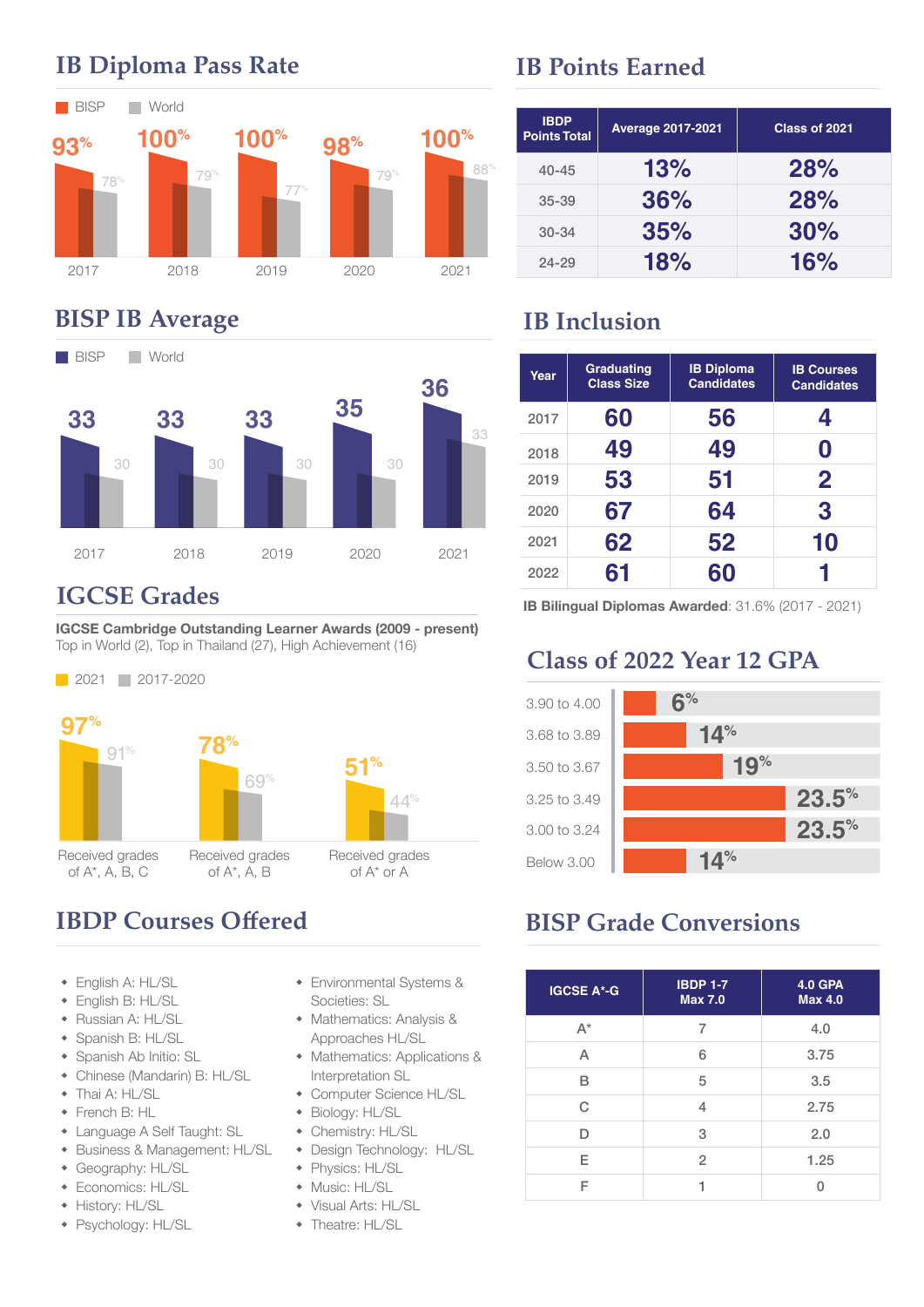

# **IB Diploma Pass Rate**

### **BISP IB Average**



### **IGCSE Grades**

IGCSE Cambridge Outstanding Learner Awards (2009 - present) Top in World (2), Top in Thailand (27), High Achievement (16)



# **IBDP Courses Offered**

- English A: HL/SL
- $\triangleq$  English B: HL/SL
- Russian A: HL/SL
- Spanish B: HL/SL
- Spanish Ab Initio: SL
- Chinese (Mandarin) B: HL/SL
- Thai A: HL/SL
- $\cdot$  French B: HL
- Language A Self Taught: SL
- Business & Management: HL/SL
- Geography: HL/SL
- Economics: HL/SL
- History: HL/SL
- Psychology: HL/SL
- **Environmental Systems &**
- Societies: SL • Mathematics: Analysis &
- Approaches HL/SL
- Mathematics: Applications & Interpretation SL
- Computer Science HL/SL
- $\triangleleft$  Biology: HL/SL
- Chemistry: HL/SL
- Design Technology: HL/SL
- Physics: HL/SL
- $*$  Music: HL/SL
- Visual Arts: HL/SL
- Theatre: HL/SL

### **IB Points Earned**

| <b>IBDP</b><br><b>Points Total</b> | <b>Average 2017-2021</b> | Class of 2021 |
|------------------------------------|--------------------------|---------------|
| $40 - 45$                          | 13%                      | 28%           |
| $35 - 39$                          | 36%                      | 28%           |
| $30 - 34$                          | 35%                      | 30%           |
| $24 - 29$                          | 18%                      | 16%           |

## **IB Inclusion**

| Year | Graduating<br><b>Class Size</b> | <b>IB Diploma</b><br><b>Candidates</b> | <b>IB Courses</b><br><b>Candidates</b> |
|------|---------------------------------|----------------------------------------|----------------------------------------|
| 2017 | 60                              | 56                                     | 4                                      |
| 2018 | 49                              | 49                                     | D                                      |
| 2019 | 53                              | 51                                     | $\mathbf 2$                            |
| 2020 | 67                              | 64                                     | 3                                      |
| 2021 | 62                              | 52                                     | 10                                     |
| 2022 | 61                              | 60                                     |                                        |

IB Bilingual Diplomas Awarded: 31.6% (2017 - 2021)

## **Class of 2022 Year 12 GPA**



# **BISP Grade Conversions**

| <b>IGCSE A*-G</b> | <b>IBDP 1-7</b><br><b>Max 7.0</b> | <b>4.0 GPA</b><br><b>Max 4.0</b> |
|-------------------|-----------------------------------|----------------------------------|
| A*                | 7                                 | 4.0                              |
| Α                 | 6                                 | 3.75                             |
| B                 | 5                                 | 3.5                              |
| C                 | 4                                 | 2.75                             |
| D                 | 3                                 | 2.0                              |
| E                 | $\overline{2}$                    | 1.25                             |
| F                 |                                   |                                  |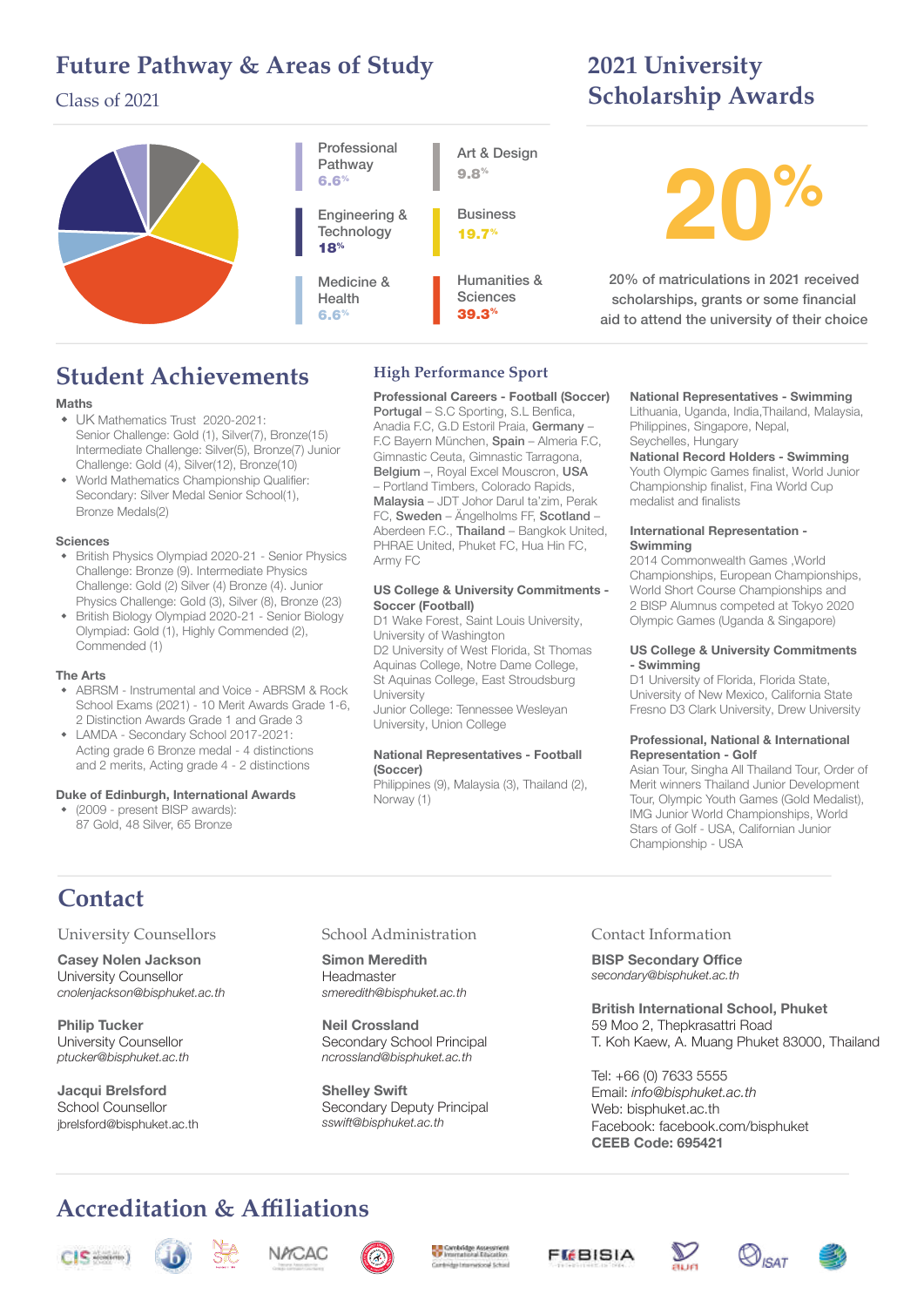### **Future Pathway & Areas of Study**

### Class of 2021

#### **20%** Professional Pathway 6.6% Engineering & **Technology** 18% Medicine & Health 6.6% Art & Design 9.8% **Business** 19.7% Humanities & **Sciences** 39.3% 20% of matriculations in 2021 received scholarships, grants or some financial aid to attend the university of their choice

# **Student Achievements**

### Maths

- UK Mathematics Trust 2020-2021: Senior Challenge: Gold (1), Silver(7), Bronze(15) Intermediate Challenge: Silver(5), Bronze(7) Junior Challenge: Gold (4), Silver(12), Bronze(10)
- World Mathematics Championship Qualifier: Secondary: Silver Medal Senior School(1), Bronze Medals(2)

### Sciences

- British Physics Olympiad 2020-21 Senior Physics Challenge: Bronze (9). Intermediate Physics Challenge: Gold (2) Silver (4) Bronze (4). Junior Physics Challenge: Gold (3), Silver (8), Bronze (23)
- British Biology Olympiad 2020-21 Senior Biology Olympiad: Gold (1), Highly Commended (2), Commended (1)

#### The Arts

- ABRSM Instrumental and Voice ABRSM & Rock School Exams (2021) - 10 Merit Awards Grade 1-6, 2 Distinction Awards Grade 1 and Grade 3
- LAMDA Secondary School 2017-2021: Acting grade 6 Bronze medal - 4 distinctions and 2 merits, Acting grade 4 - 2 distinctions

#### Duke of Edinburgh, International Awards

(2009 - present BISP awards): 87 Gold, 48 Silver, 65 Bronze

### **High Performance Sport**

Professional Careers - Football (Soccer) Portugal – S.C Sporting, S.L Benfica, Anadia F.C, G.D Estoril Praia, Germany – F.C Bayern München, Spain – Almeria F.C, Gimnastic Ceuta, Gimnastic Tarragona, Belgium –, Royal Excel Mouscron, USA – Portland Timbers, Colorado Rapids, Malaysia – JDT Johor Darul ta'zim, Perak FC, Sweden – Ängelholms FF, Scotland – Aberdeen F.C., Thailand - Bangkok United, PHRAE United, Phuket FC, Hua Hin FC, Army FC

#### US College & University Commitments - Soccer (Football)

D1 Wake Forest, Saint Louis University, University of Washington D2 University of West Florida, St Thomas

Aquinas College, Notre Dame College, St Aquinas College, East Stroudsburg **University** Junior College: Tennessee Wesleyan

University, Union College

#### National Representatives - Football (Soccer)

Philippines (9), Malaysia (3), Thailand (2), Norway (1)

#### National Representatives - Swimming

**2021 University** 

**Scholarship Awards**

Lithuania, Uganda, India,Thailand, Malaysia, Philippines, Singapore, Nepal, Seychelles, Hungary

#### National Record Holders - Swimming

Youth Olympic Games finalist, World Junior Championship finalist, Fina World Cup medalist and finalists

#### International Representation - Swimming

2014 Commonwealth Games ,World Championships, European Championships, World Short Course Championships and 2 BISP Alumnus competed at Tokyo 2020 Olympic Games (Uganda & Singapore)

#### US College & University Commitments - Swimming

D1 University of Florida, Florida State, University of New Mexico, California State Fresno D3 Clark University, Drew University

#### Professional, National & International Representation - Golf

Asian Tour, Singha All Thailand Tour, Order of Merit winners Thailand Junior Development Tour, Olympic Youth Games (Gold Medalist), IMG Junior World Championships, World Stars of Golf - USA, Californian Junior Championship - USA

## **Contact**

### University Counsellors

Casey Nolen Jackson University Counsellor cnolenjackson@bisphuket.ac.th

Philip Tucker University Counsellor ptucker@bisphuket.ac.th

Jacqui Brelsford School Counsellor jbrelsford@bisphuket.ac.th

#### School Administration

Simon Meredith Headmaster smeredith@bisphuket.ac.th

Neil Crossland Secondary School Principal ncrossland@bisphuket.ac.th

Shelley Swift Secondary Deputy Principal sswift@bisphuket.ac.th

#### Contact Information

BISP Secondary Office secondary@bisphuket.ac.th

British International School, Phuket 59 Moo 2, Thepkrasattri Road T. Koh Kaew, A. Muang Phuket 83000, Thailand

Tel: +66 (0) 7633 5555 Email: info@bisphuket.ac.th Web: bisphuket.ac.th Facebook: facebook.com/bisphuket CEEB Code: 695421

# **Accreditation & Affiliations**